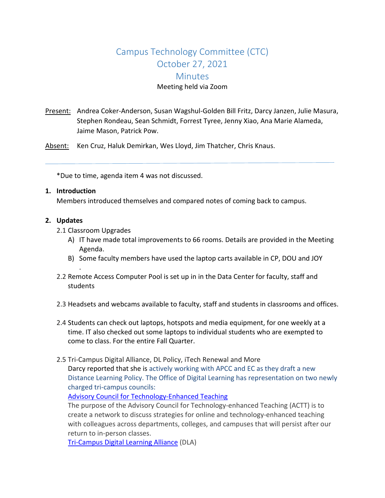# Campus Technology Committee (CTC) October 27, 2021 **Minutes** Meeting held via Zoom

Present: Andrea Coker-Anderson, Susan Wagshul-Golden Bill Fritz, Darcy Janzen, Julie Masura, Stephen Rondeau, Sean Schmidt, Forrest Tyree, Jenny Xiao, Ana Marie Alameda, Jaime Mason, Patrick Pow.

Absent: Ken Cruz, Haluk Demirkan, Wes Lloyd, Jim Thatcher, Chris Knaus.

\*Due to time, agenda item 4 was not discussed.

#### **1. Introduction**

Members introduced themselves and compared notes of coming back to campus.

#### **2. Updates**

2.1 Classroom Upgrades

.

- A) IT have made total improvements to 66 rooms. Details are provided in the Meeting Agenda.
- B) Some faculty members have used the laptop carts available in CP, DOU and JOY
- 2.2 Remote Access Computer Pool is set up in in the Data Center for faculty, staff and students
- 2.3 Headsets and webcams available to faculty, staff and students in classrooms and offices.
- 2.4 Students can check out laptops, hotspots and media equipment, for one weekly at a time. IT also checked out some laptops to individual students who are exempted to come to class. For the entire Fall Quarter.
- 2.5 Tri-Campus Digital Alliance, DL Policy, iTech Renewal and More Darcy reported that she is actively working with APCC and EC as they draft a new Distance Learning Policy. The Office of Digital Learning has representation on two newly charged tri-campus councils:

Advisory Council for [Technology-Enhanced](https://teaching.washington.edu/about-the-ctl/partnerships/advisory-council-for-technology-enhanced-teaching/) Teaching

The purpose of the Advisory Council for Technology-enhanced Teaching (ACTT) is to create a network to discuss strategies for online and technology-enhanced teaching with colleagues across departments, colleges, and campuses that will persist after our return to in-person classes.

[Tri-Campus](https://www.washington.edu/asa/tdla-charge-letter/) Digital Learning Alliance (DLA)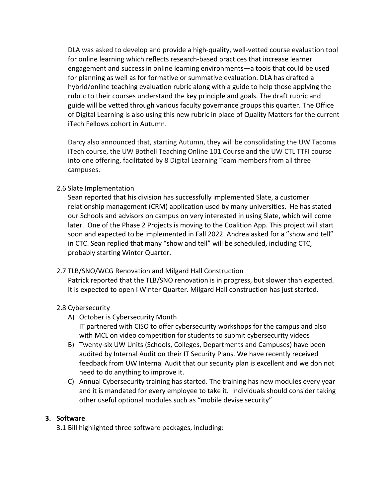DLA was asked to develop and provide a high-quality, well-vetted course evaluation tool for online learning which reflects research-based practices that increase learner engagement and success in online learning environments—a tools that could be used for planning as well as for formative or summative evaluation. DLA has drafted a hybrid/online teaching evaluation rubric along with a guide to help those applying the rubric to their courses understand the key principle and goals. The draft rubric and guide will be vetted through various faculty governance groups this quarter. The Office of Digital Learning is also using this new rubric in place of Quality Matters for the current iTech Fellows cohort in Autumn.

Darcy also announced that, starting Autumn, they will be consolidating the UW Tacoma iTech course, the UW Bothell Teaching Online 101 Course and the UW CTL TTFI course into one offering, facilitated by 8 Digital Learning Team members from all three campuses.

## 2.6 Slate Implementation

Sean reported that his division has successfully implemented Slate, a customer relationship management (CRM) application used by many universities. He has stated our Schools and advisors on campus on very interested in using Slate, which will come later. One of the Phase 2 Projects is moving to the Coalition App. This project will start soon and expected to be implemented in Fall 2022. Andrea asked for a "show and tell" in CTC. Sean replied that many "show and tell" will be scheduled, including CTC, probably starting Winter Quarter.

#### 2.7 TLB/SNO/WCG Renovation and Milgard Hall Construction

Patrick reported that the TLB/SNO renovation is in progress, but slower than expected. It is expected to open I Winter Quarter. Milgard Hall construction has just started.

## 2.8 Cybersecurity

- A) October is Cybersecurity Month IT partnered with CISO to offer cybersecurity workshops for the campus and also with MCL on video competition for students to submit cybersecurity videos
- B) Twenty-six UW Units (Schools, Colleges, Departments and Campuses) have been audited by Internal Audit on their IT Security Plans. We have recently received feedback from UW Internal Audit that our security plan is excellent and we don not need to do anything to improve it.
- C) Annual Cybersecurity training has started. The training has new modules every year and it is mandated for every employee to take it. Individuals should consider taking other useful optional modules such as "mobile devise security"

## **3. Software**

3.1 Bill highlighted three software packages, including: